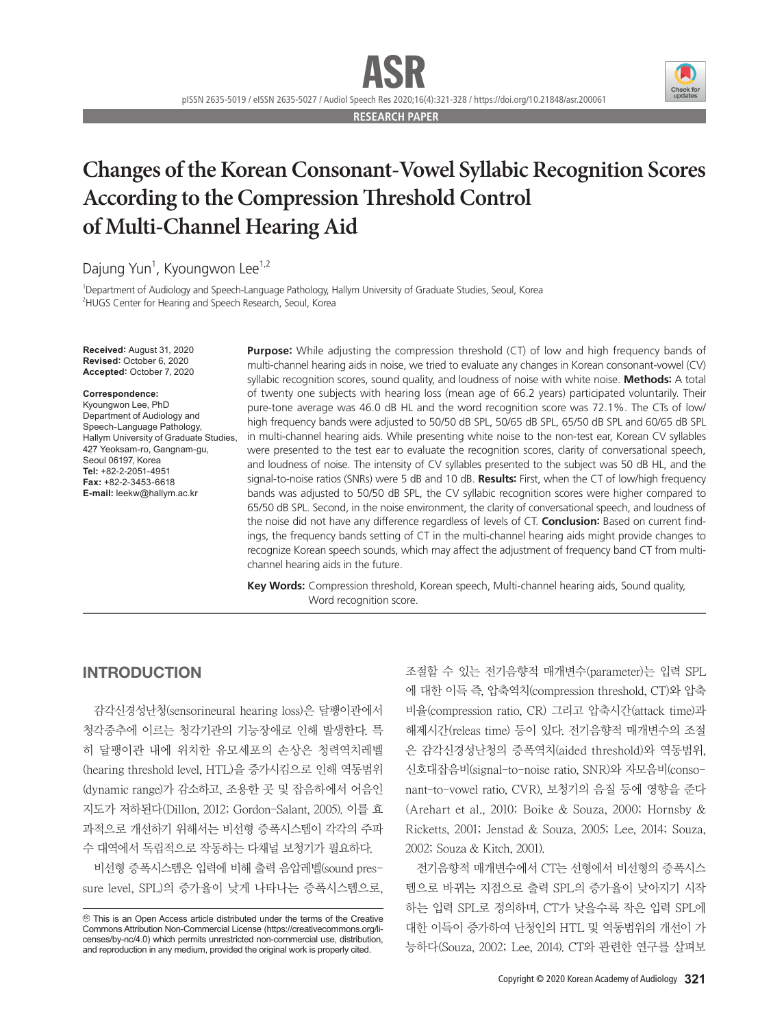

pISSN 2635-5019 / eISSN 2635-5027 / Audiol Speech Res 2020;16(4):321-328 / https://doi.org/10.21848/asr.200061

**RESEARCH PAPER**

# **Changes of the Korean Consonant-Vowel Syllabic Recognition Scores According to the Compression Threshold Control of Multi-Channel Hearing Aid**

Dajung Yun<sup>1</sup>, Kyoungwon Lee<sup>1,2</sup>

1 Department of Audiology and Speech-Language Pathology, Hallym University of Graduate Studies, Seoul, Korea 2 HUGS Center for Hearing and Speech Research, Seoul, Korea

**Received:** August 31, 2020 **Revised:** October 6, 2020 **Accepted:** October 7, 2020

#### **Correspondence:**

Kyoungwon Lee, PhD Department of Audiology and Speech-Language Pathology, Hallym University of Graduate Studies, 427 Yeoksam-ro, Gangnam-gu, Seoul 06197, Korea **Tel:** +82-2-2051-4951 **Fax:** +82-2-3453-6618 **E-mail:** leekw@hallym.ac.kr

**Purpose:** While adjusting the compression threshold (CT) of low and high frequency bands of multi-channel hearing aids in noise, we tried to evaluate any changes in Korean consonant-vowel (CV) syllabic recognition scores, sound quality, and loudness of noise with white noise. **Methods:** A total of twenty one subjects with hearing loss (mean age of 66.2 years) participated voluntarily. Their pure-tone average was 46.0 dB HL and the word recognition score was 72.1%. The CTs of low/ high frequency bands were adjusted to 50/50 dB SPL, 50/65 dB SPL, 65/50 dB SPL and 60/65 dB SPL in multi-channel hearing aids. While presenting white noise to the non-test ear, Korean CV syllables were presented to the test ear to evaluate the recognition scores, clarity of conversational speech, and loudness of noise. The intensity of CV syllables presented to the subject was 50 dB HL, and the signal-to-noise ratios (SNRs) were 5 dB and 10 dB. **Results:** First, when the CT of low/high frequency bands was adjusted to 50/50 dB SPL, the CV syllabic recognition scores were higher compared to 65/50 dB SPL. Second, in the noise environment, the clarity of conversational speech, and loudness of the noise did not have any difference regardless of levels of CT. **Conclusion:** Based on current findings, the frequency bands setting of CT in the multi-channel hearing aids might provide changes to recognize Korean speech sounds, which may affect the adjustment of frequency band CT from multichannel hearing aids in the future.

**Key Words:** Compression threshold, Korean speech, Multi-channel hearing aids, Sound quality, Word recognition score.

#### INTRODUCTION

감각신경성난청(sensorineural hearing loss)은 달팽이관에서 청각중추에 이르는 청각기관의 기능장애로 인해 발생한다. 특 히 달팽이관 내에 위치한 유모세포의 손상은 청력역치레벨 (hearing threshold level, HTL)을 증가시킴으로 인해 역동범위 (dynamic range)가 감소하고, 조용한 곳 및 잡음하에서 어음인 지도가 저하된다(Dillon, 2012; Gordon-Salant, 2005). 이를 효 과적으로 개선하기 위해서는 비선형 증폭시스템이 각각의 주파 수 대역에서 독립적으로 작동하는 다채널 보청기가 필요하다.

비선형 증폭시스템은 입력에 비해 출력 음압레벨(sound pressure level, SPL)의 증가율이 낮게 나타나는 증폭시스템으로, 조절할 수 있는 전기음향적 매개변수(parameter)는 입력 SPL 에 대한 이득 즉, 압축역치(compression threshold, CT)와 압축 비율(compression ratio, CR) 그리고 압축시간(attack time)과 해제시간(releas time) 등이 있다. 전기음향적 매개변수의 조절 은 감각신경성난청의 증폭역치(aided threshold)와 역동범위, 신호대잡음비(signal-to-noise ratio, SNR)와 자모음비(consonant-to-vowel ratio, CVR), 보청기의 음질 등에 영향을 준다 (Arehart et al., 2010; Boike & Souza, 2000; Hornsby & Ricketts, 2001; Jenstad & Souza, 2005; Lee, 2014; Souza, 2002; Souza & Kitch, 2001).

전기음향적 매개변수에서 CT는 선형에서 비선형의 증폭시스 템으로 바뀌는 지점으로 출력 SPL의 증가율이 낮아지기 시작 하는 입력 SPL로 정의하며, CT가 낮을수록 작은 입력 SPL에 대한 이득이 증가하여 난청인의 HTL 및 역동범위의 개선이 가 능하다(Souza, 2002; Lee, 2014). CT와 관련한 연구를 살펴보

cc This is an Open Access article distributed under the terms of the Creative Commons Attribution Non-Commercial License (https://creativecommons.org/licenses/by-nc/4.0) which permits unrestricted non-commercial use, distribution, and reproduction in any medium, provided the original work is properly cited.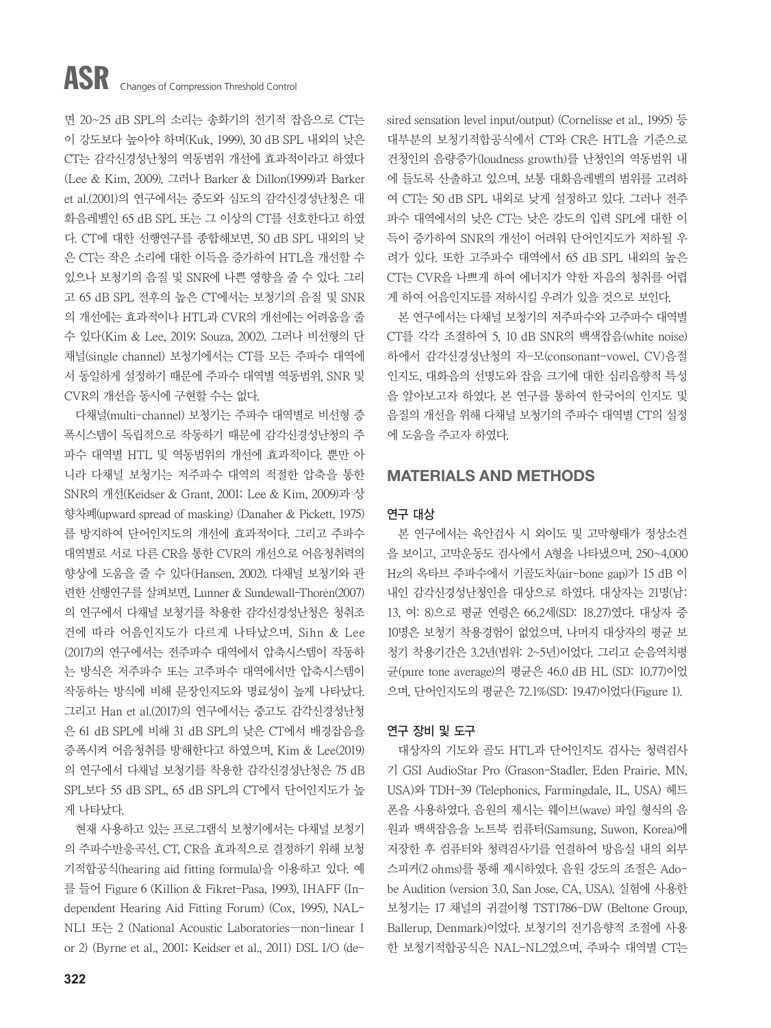면 20~25 dB SPL의 소리는 송화기의 전기적 잡음으로 CT는 이 강도보다 높아야 하며(Kuk, 1999), 30 dB SPL 내외의 낮은 CT는 감각신경성난청의 역동범위 개선에 효과적이라고 하였다 (Lee & Kim, 2009). 그러나 Barker & Dillon(1999)과 Barker et al.(2001)의 연구에서는 중도와 심도의 감각신경성난청은 대 화음레벨인 65 dB SPL 또는 그 이상의 CT를 선호한다고 하였 다. CT에 대한 선행연구를 종합해보면, 50 dB SPL 내외의 낮 은 CT는 작은 소리에 대한 이득을 증가하여 HTL을 개선할 수 있으나 보청기의 음질 및 SNR에 나쁜 영향을 줄 수 있다. 그리 고 65 dB SPL 전후의 높은 CT에서는 보청기의 음질 및 SNR 의 개선에는 효과적이나 HTL과 CVR의 개선에는 어려움을 줄 수 있다(Kim & Lee, 2019; Souza, 2002). 그러나 비선형의 단 채널(single channel) 보청기에서는 CT를 모든 주파수 대역에 서 동일하게 설정하기 때문에 주파수 대역별 역동범위, SNR 및 CVR의 개선을 동시에 구현할 수는 없다.

다채널(multi-channel) 보청기는 주파수 대역별로 비선형 증 폭시스템이 독립적으로 작동하기 때문에 감각신경성난청의 주 파수 대역별 HTL 및 역동범위의 개선에 효과적이다. 뿐만 아 니라 다채널 보청기는 저주파수 대역의 적절한 압축을 통한 SNR의 개선(Keidser & Grant, 2001; Lee & Kim, 2009)과 상 향차폐(upward spread of masking) (Danaher & Pickett, 1975) 를 방지하여 단어인지도의 개선에 효과적이다. 그리고 주파수 대역별로 서로 다른 CR을 통한 CVR의 개선으로 어음청취력의 향상에 도움을 줄 수 있다(Hansen, 2002). 다채널 보청기와 관 련한 선행연구를 살펴보면, Lunner & Sundewall-Thor´en(2007) 의 연구에서 다채널 보청기를 착용한 감각신경성난청은 청취조 건에 따라 어음인지도가 다르게 나타났으며, Sihn & Lee (2017)의 연구에서는 전주파수 대역에서 압축시스템이 작동하 는 방식은 저주파수 또는 고주파수 대역에서만 압축시스템이 작동하는 방식에 비해 문장인지도와 명료성이 높게 나타났다. 그리고 Han et al.(2017)의 연구에서는 중고도 감각신경성난청 은 61 dB SPL에 비해 31 dB SPL의 낮은 CT에서 배경잡음을 증폭시켜 어음청취를 방해한다고 하였으며, Kim & Lee(2019) 의 연구에서 다채널 보청기를 착용한 감각신경성난청은 75 dB SPL보다 55 dB SPL, 65 dB SPL의 CT에서 단어인지도가 높 게 나타났다.

현재 사용하고 있는 프로그램식 보청기에서는 다채널 보청기 의 주파수반응곡선, CT, CR을 효과적으로 결정하기 위해 보청 기적합공식(hearing aid fitting formula)을 이용하고 있다. 예 를 들어 Figure 6 (Killion & Fikret-Pasa, 1993), IHAFF (Independent Hearing Aid Fitting Forum) (Cox, 1995), NAL-NL1 또는 2 (National Acoustic Laboratories―non-linear 1 or 2) (Byrne et al., 2001; Keidser et al., 2011) DSL I/O (desired sensation level input/output) (Cornelisse et al., 1995) 등 대부분의 보청기적합공식에서 CT와 CR은 HTL을 기준으로 건청인의 음량증가(loudness growth)를 난청인의 역동범위 내 에 들도록 산출하고 있으며, 보통 대화음레벨의 범위를 고려하 여 CT는 50 dB SPL 내외로 낮게 설정하고 있다. 그러나 전주 파수 대역에서의 낮은 CT는 낮은 강도의 입력 SPL에 대한 이 득이 증가하여 SNR의 개선이 어려워 단어인지도가 저하될 우 려가 있다. 또한 고주파수 대역에서 65 dB SPL 내외의 높은 CT는 CVR을 나쁘게 하여 에너지가 약한 자음의 청취를 어렵 게 하여 어음인지도를 저하시킬 우려가 있을 것으로 보인다.

본 연구에서는 다채널 보청기의 저주파수와 고주파수 대역별 CT를 각각 조절하여 5, 10 dB SNR의 백색잡음(white noise) 하에서 감각신경성난청의 자-모(consonant-vowel, CV)음절 인지도, 대화음의 선명도와 잡음 크기에 대한 심리음향적 특성 을 알아보고자 하였다. 본 연구를 통하여 한국어의 인지도 및 음질의 개선을 위해 다채널 보청기의 주파수 대역별 CT의 설정 에 도움을 주고자 하였다.

#### MATERIALS AND METHODS

#### 연구 대상

본 연구에서는 육안검사 시 외이도 및 고막형태가 정상소견 을 보이고, 고막운동도 검사에서 A형을 나타냈으며, 250~4,000 Hz의 옥타브 주파수에서 기골도차(air-bone gap)가 15 dB 이 내인 감각신경성난청인을 대상으로 하였다. 대상자는 21명(남: 13, 여: 8)으로 평균 연령은 66.2세(SD: 18.27)였다. 대상자 중 10명은 보청기 착용경험이 없었으며, 나머지 대상자의 평균 보 청기 착용기간은 3.2년(범위: 2~5년)이었다. 그리고 순음역치평 균(pure tone average)의 평균은 46.0 dB HL (SD: 10.77)이었 으며, 단어인지도의 평균은 72.1%(SD: 19.47)이었다(Figure 1).

#### 연구 장비 및 도구

대상자의 기도와 골도 HTL과 단어인지도 검사는 청력검사 기 GSI AudioStar Pro (Grason-Stadler, Eden Prairie, MN, USA)와 TDH-39 (Telephonics, Farmingdale, IL, USA) 헤드 폰을 사용하였다. 음원의 제시는 웨이브(wave) 파일 형식의 음 원과 백색잡음을 노트북 컴퓨터(Samsung, Suwon, Korea)에 저장한 후 컴퓨터와 청력검사기를 연결하여 방음실 내의 외부 스피커(2 ohms)를 통해 제시하였다. 음원 강도의 조절은 Adobe Audition (version 3.0, San Jose, CA, USA), 실험에 사용한 보청기는 17 채널의 귀걸이형 TST1786-DW (Beltone Group, Ballerup, Denmark)이었다. 보청기의 전기음향적 조절에 사용 한 보청기적합공식은 NAL-NL2였으며, 주파수 대역별 CT는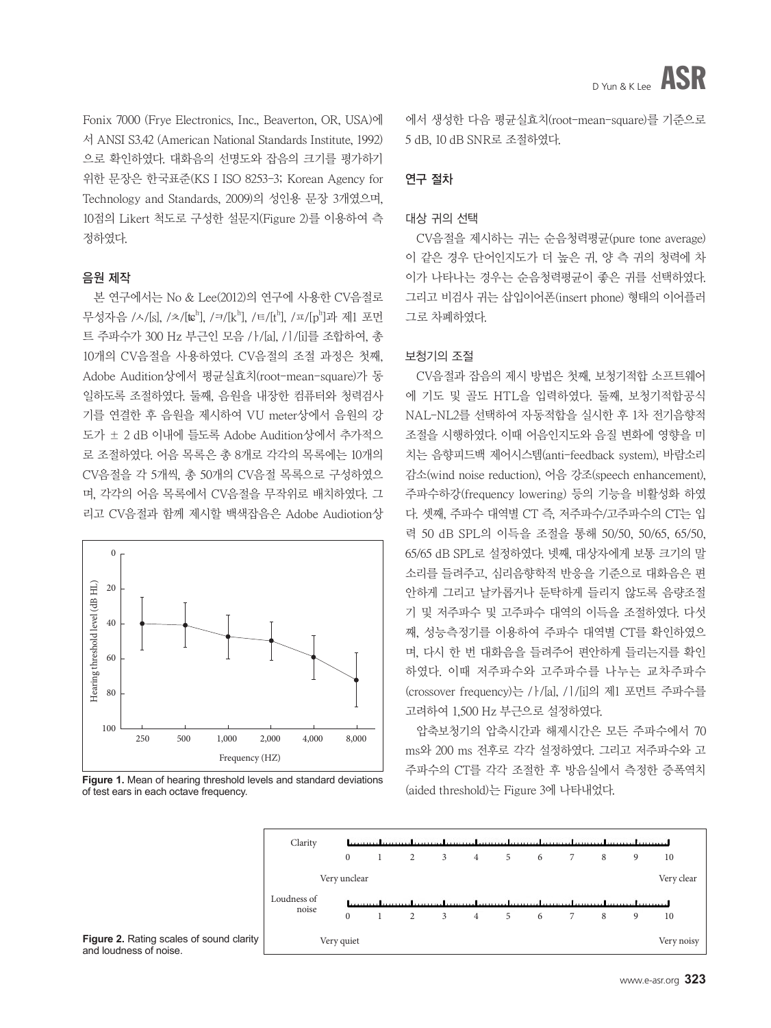Fonix 7000 (Frye Electronics, Inc., Beaverton, OR, USA)에 서 ANSI S3.42 (American National Standards Institute, 1992) 으로 확인하였다. 대화음의 선명도와 잡음의 크기를 평가하기 위한 문장은 한국표준(KS I ISO 8253-3; Korean Agency for Technology and Standards, 2009)의 성인용 문장 3개였으며, 10점의 Likert 척도로 구성한 설문지(Figure 2)를 이용하여 측 정하였다.

#### 음원 제작

본 연구에서는 No & Lee(2012)의 연구에 사용한 CV음절로 무성자음 /ㅅ/[s], /ㅊ/[tɛʰ], /ㅋ/[kʰ], /ㅌ/[tʰ], /ㅍ/[pʰ]과 제1 포먼 트 주파수가 300 Hz 부근인 모음 /ㅏ/[a], /ㅣ/[i]를 조합하여, 총 10개의 CV음절을 사용하였다. CV음절의 조절 과정은 첫째, Adobe Audition상에서 평균실효치(root-mean-square)가 동 일하도록 조절하였다. 둘째, 음원을 내장한 컴퓨터와 청력검사 기를 연결한 후 음원을 제시하여 VU meter상에서 음원의 강 도가 ± 2 dB 이내에 들도록 Adobe Audition상에서 추가적으 로 조절하였다. 어음 목록은 총 8개로 각각의 목록에는 10개의 CV음절을 각 5개씩, 총 50개의 CV음절 목록으로 구성하였으 며, 각각의 어음 목록에서 CV음절을 무작위로 배치하였다. 그 리고 CV음절과 함께 제시할 백색잡음은 Adobe Audiotion상



**Figure 1.** Mean of hearing threshold levels and standard deviations of test ears in each octave frequency.

에서 생성한 다음 평균실효치(root-mean-square)를 기준으로 5 dB, 10 dB SNR로 조절하였다.

#### 연구 절차

#### 대상 귀의 선택

CV음절을 제시하는 귀는 순음청력평균(pure tone average) 이 같은 경우 단어인지도가 더 높은 귀, 양 측 귀의 청력에 차 이가 나타나는 경우는 순음청력평균이 좋은 귀를 선택하였다. 그리고 비검사 귀는 삽입이어폰(insert phone) 형태의 이어플러 그로 차폐하였다.

#### 보청기의 조절

CV음절과 잡음의 제시 방법은 첫째, 보청기적합 소프트웨어 에 기도 및 골도 HTL을 입력하였다. 둘째, 보청기적합공식 NAL-NL2를 선택하여 자동적합을 실시한 후 1차 전기음향적 조절을 시행하였다. 이때 어음인지도와 음질 변화에 영향을 미 치는 음향피드백 제어시스템(anti-feedback system), 바람소리 감소(wind noise reduction), 어음 강조(speech enhancement), 주파수하강(frequency lowering) 등의 기능을 비활성화 하였 다. 셋째, 주파수 대역별 CT 즉, 저주파수/고주파수의 CT는 입 력 50 dB SPL의 이득을 조절을 통해 50/50, 50/65, 65/50, 65/65 dB SPL로 설정하였다. 넷째, 대상자에게 보통 크기의 말 소리를 들려주고, 심리음향학적 반응을 기준으로 대화음은 편 안하게 그리고 날카롭거나 둔탁하게 들리지 않도록 음량조절 기 및 저주파수 및 고주파수 대역의 이득을 조절하였다. 다섯 째, 성능측정기를 이용하여 주파수 대역별 CT를 확인하였으 며, 다시 한 번 대화음을 들려주어 편안하게 들리는지를 확인 하였다. 이때 저주파수와 고주파수를 나누는 교차주파수 (crossover frequency)는 /ㅏ/[a], /ㅣ/[i]의 제1 포먼트 주파수를 고려하여 1,500 Hz 부근으로 설정하였다.

압축보청기의 압축시간과 해제시간은 모든 주파수에서 70 ms와 200 ms 전후로 각각 설정하였다. 그리고 저주파수와 고 주파수의 CT를 각각 조절한 후 방음실에서 측정한 증폭역치 (aided threshold)는 Figure 3에 나타내었다.

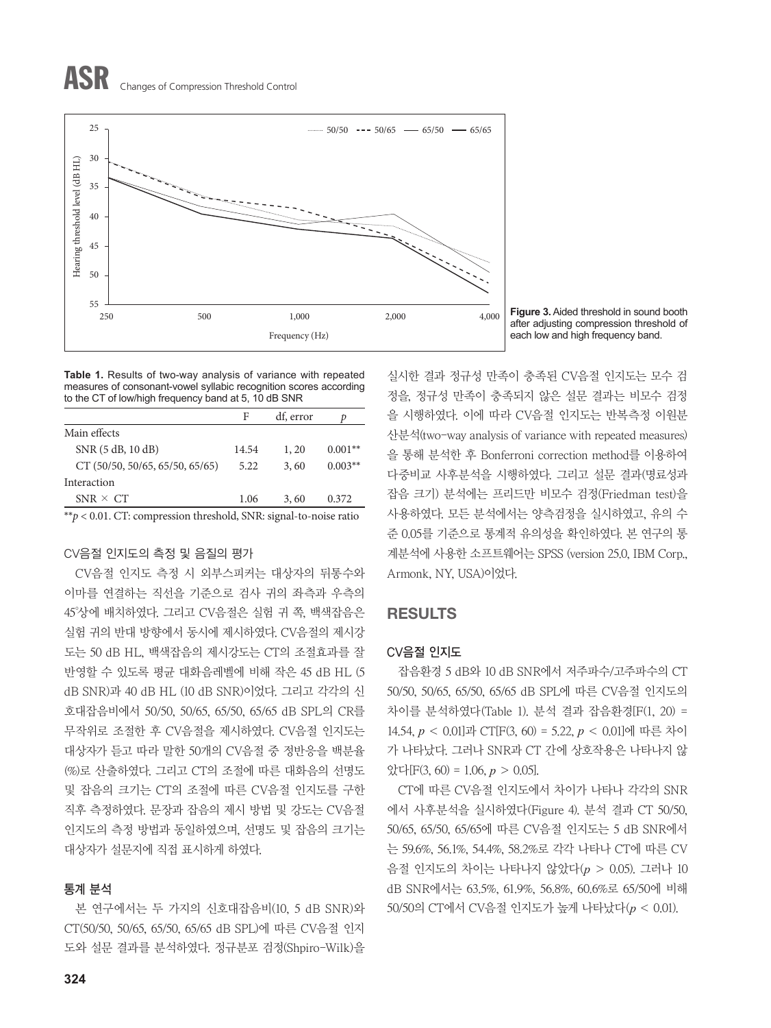# ASR Changes of Compression Threshold Control



**Figure 3.** Aided threshold in sound booth after adjusting compression threshold of each low and high frequency band.

**Table 1.** Results of two-way analysis of variance with repeated measures of consonant-vowel syllabic recognition scores according to the CT of low/high frequency band at 5, 10 dB SNR

|                                                                      | F     | df, error | D         |  |  |  |
|----------------------------------------------------------------------|-------|-----------|-----------|--|--|--|
| Main effects                                                         |       |           |           |  |  |  |
| SNR (5 dB, 10 dB)                                                    | 14.54 | 1, 20     | $0.001**$ |  |  |  |
| CT(50/50, 50/65, 65/50, 65/65)                                       | 5.22  | 3,60      | $0.003**$ |  |  |  |
| Interaction                                                          |       |           |           |  |  |  |
| $SNR \times CT$                                                      | 1.06  | 3,60      | 0.372     |  |  |  |
| ** $p$ < 0.01. CT: compression threshold, SNR: signal-to-noise ratio |       |           |           |  |  |  |

#### CV음절 인지도의 측정 및 음질의 평가

CV음절 인지도 측정 시 외부스피커는 대상자의 뒤통수와 이마를 연결하는 직선을 기준으로 검사 귀의 좌측과 우측의 45°상에 배치하였다. 그리고 CV음절은 실험 귀 쪽, 백색잡음은 실험 귀의 반대 방향에서 동시에 제시하였다. CV음절의 제시강 도는 50 dB HL, 백색잡음의 제시강도는 CT의 조절효과를 잘 반영할 수 있도록 평균 대화음레벨에 비해 작은 45 dB HL (5 dB SNR)과 40 dB HL (10 dB SNR)이었다. 그리고 각각의 신 호대잡음비에서 50/50, 50/65, 65/50, 65/65 dB SPL의 CR를 무작위로 조절한 후 CV음절을 제시하였다. CV음절 인지도는 대상자가 듣고 따라 말한 50개의 CV음절 중 정반응을 백분율 (%)로 산출하였다. 그리고 CT의 조절에 따른 대화음의 선명도 및 잡음의 크기는 CT의 조절에 따른 CV음절 인지도를 구한 직후 측정하였다. 문장과 잡음의 제시 방법 및 강도는 CV음절 인지도의 측정 방법과 동일하였으며, 선명도 및 잡음의 크기는 대상자가 설문지에 직접 표시하게 하였다.

#### 통계 분석

본 연구에서는 두 가지의 신호대잡음비(10, 5 dB SNR)와 CT(50/50, 50/65, 65/50, 65/65 dB SPL)에 따른 CV음절 인지 도와 설문 결과를 분석하였다. 정규분포 검정(Shpiro-Wilk)을

실시한 결과 정규성 만족이 충족된 CV음절 인지도는 모수 검 정을, 정규성 만족이 충족되지 않은 설문 결과는 비모수 검정 을 시행하였다. 이에 따라 CV음절 인지도는 반복측정 이원분 산분석(two-way analysis of variance with repeated measures) 을 통해 분석한 후 Bonferroni correction method를 이용하여 다중비교 사후분석을 시행하였다. 그리고 설문 결과(명료성과 잡음 크기) 분석에는 프리드만 비모수 검정(Friedman test)을 사용하였다. 모든 분석에서는 양측검정을 실시하였고, 유의 수 준 0.05를 기준으로 통계적 유의성을 확인하였다. 본 연구의 통 계분석에 사용한 소프트웨어는 SPSS (version 25.0, IBM Corp., Armonk, NY, USA)이었다.

#### RESULTS

#### CV음절 인지도

잡음환경 5 dB와 10 dB SNR에서 저주파수/고주파수의 CT 50/50, 50/65, 65/50, 65/65 dB SPL에 따른 CV음절 인지도의 차이를 분석하였다(Table 1). 분석 결과 잡음환경[F(1, 20) = 14.54, *p* < 0.01]과 CT[F(3, 60) = 5.22, *p* < 0.01]에 따른 차이 가 나타났다. 그러나 SNR과 CT 간에 상호작용은 나타나지 않 았다[F(3, 60) = 1.06, *p* > 0.05].

CT에 따른 CV음절 인지도에서 차이가 나타나 각각의 SNR 에서 사후분석을 실시하였다(Figure 4). 분석 결과 CT 50/50, 50/65, 65/50, 65/65에 따른 CV음절 인지도는 5 dB SNR에서 는 59.6%, 56.1%, 54.4%, 58.2%로 각각 나타나 CT에 따른 CV 음절 인지도의 차이는 나타나지 않았다(*p* > 0.05). 그러나 10 dB SNR에서는 63.5%, 61.9%, 56.8%, 60.6%로 65/50에 비해 50/50의 CT에서 CV음절 인지도가 높게 나타났다(*p* < 0.01).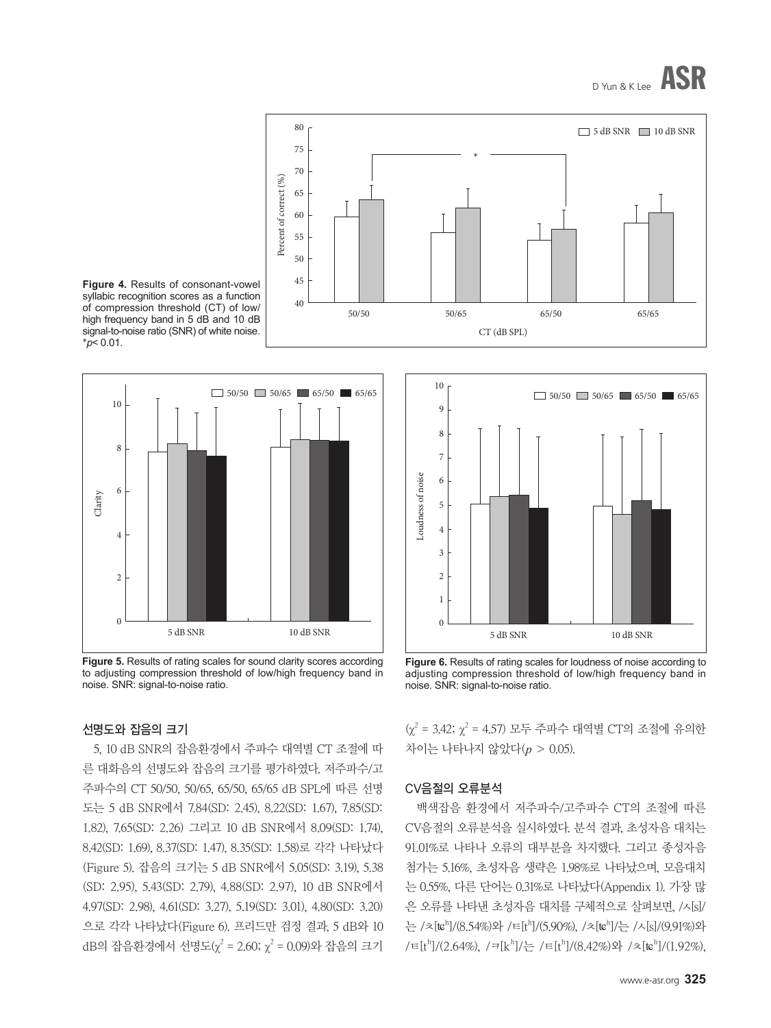







**Figure 5.** Results of rating scales for sound clarity scores according to adjusting compression threshold of low/high frequency band in noise. SNR: signal-to-noise ratio.

#### 선명도와 잡음의 크기

5, 10 dB SNR의 잡음환경에서 주파수 대역별 CT 조절에 따 른 대화음의 선명도와 잡음의 크기를 평가하였다. 저주파수/고 주파수의 CT 50/50, 50/65, 65/50, 65/65 dB SPL에 따른 선명 도는 5 dB SNR에서 7.84(SD: 2.45), 8.22(SD: 1.67), 7.85(SD: 1.82), 7.65(SD: 2.26) 그리고 10 dB SNR에서 8.09(SD: 1.74), 8.42(SD: 1.69), 8.37(SD: 1.47), 8.35(SD: 1.58)로 각각 나타났다 (Figure 5). 잡음의 크기는 5 dB SNR에서 5.05(SD: 3.19), 5.38 (SD: 2.95), 5.43(SD: 2.79), 4.88(SD: 2.97), 10 dB SNR에서 4.97(SD: 2.98), 4.61(SD: 3.27), 5.19(SD: 3.01), 4.80(SD: 3.20) 으로 각각 나타났다(Figure 6). 프리드만 검정 결과, 5 dB와 10 dB의 잡음환경에서 선명도( $\chi^2$  = 2.60;  $\chi^2$  = 0.09)와 잡음의 크기



**Figure 6.** Results of rating scales for loudness of noise according to adjusting compression threshold of low/high frequency band in noise. SNR: signal-to-noise ratio.

 $(\chi^2 = 3.42; \chi^2 = 4.57)$  모두 주파수 대역별 CT의 조절에 유의한 차이는 나타나지 않았다(*p* > 0.05).

#### CV음절의 오류분석

백색잡음 환경에서 저주파수/고주파수 CT의 조절에 따른 CV음절의 오류분석을 실시하였다. 분석 결과, 초성자음 대치는 91.01%로 나타나 오류의 대부분을 차지했다. 그리고 종성자음 첨가는 5.16%, 초성자음 생략은 1.98%로 나타났으며, 모음대치 는 0.55%, 다른 단어는 0.31%로 나타났다(Appendix 1). 가장 많 은 오류를 나타낸 초성자음 대치를 구체적으로 살펴보면, /ㅅ[s]/ 는 /ㅊ[tɕʰ]/(8.54%)와 /ㅌ[tʰ]/(5.90%), /ㅊ[tɕʰ]/는 /ㅅ[s]/(9.91%)와 /ㅌ[tʰ]/(2.64%), /ㅋ[kʰ]/는 /ㅌ[tʰ]/(8.42%)와 /ㅊ[tɕʰ]/(1.92%),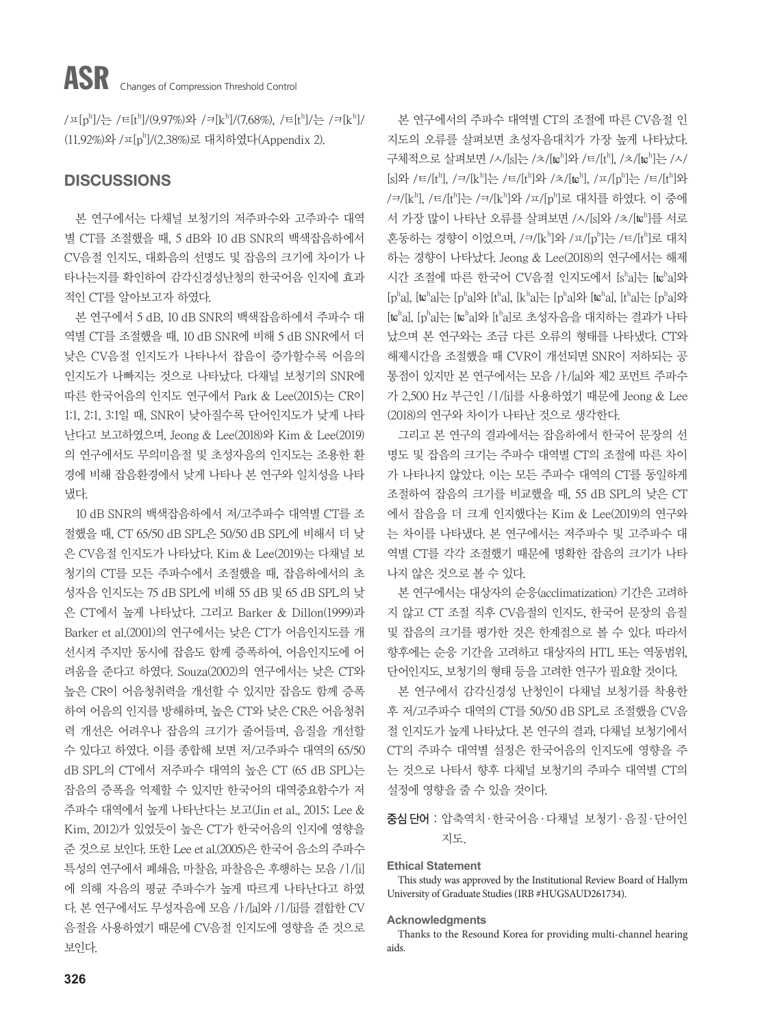/ㅍ[pʰ]/는 /ㅌ[tʰ]/(9.97%)와 /ㅋ[kʰ]/(7.68%), /ㅌ[tʰ]/는 /ㅋ[kʰ]/ (11.92%)와 /ㅍ[ph ]/(2.38%)로 대치하였다(Appendix 2).

#### **DISCUSSIONS**

본 연구에서는 다채널 보청기의 저주파수와 고주파수 대역 별 CT를 조절했을 때, 5 dB와 10 dB SNR의 백색잡음하에서 CV음절 인지도, 대화음의 선명도 및 잡음의 크기에 차이가 나 타나는지를 확인하여 감각신경성난청의 한국어음 인지에 효과 적인 CT를 알아보고자 하였다.

본 연구에서 5 dB, 10 dB SNR의 백색잡음하에서 주파수 대 역별 CT를 조절했을 때, 10 dB SNR에 비해 5 dB SNR에서 더 낮은 CV음절 인지도가 나타나서 잡음이 증가할수록 어음의 인지도가 나빠지는 것으로 나타났다. 다채널 보청기의 SNR에 따른 한국어음의 인지도 연구에서 Park & Lee(2015)는 CR이 1:1, 2:1, 3:1일 때, SNR이 낮아질수록 단어인지도가 낮게 나타 난다고 보고하였으며, Jeong & Lee(2018)와 Kim & Lee(2019) 의 연구에서도 무의미음절 및 초성자음의 인지도는 조용한 환 경에 비해 잡음환경에서 낮게 나타나 본 연구와 일치성을 나타 냈다.

10 dB SNR의 백색잡음하에서 저/고주파수 대역별 CT를 조 절했을 때, CT 65/50 dB SPL은 50/50 dB SPL에 비해서 더 낮 은 CV음절 인지도가 나타났다. Kim & Lee(2019)는 다채널 보 청기의 CT를 모든 주파수에서 조절했을 때, 잡음하에서의 초 성자음 인지도는 75 dB SPL에 비해 55 dB 및 65 dB SPL의 낮 은 CT에서 높게 나타났다. 그리고 Barker & Dillon(1999)과 Barker et al.(2001)의 연구에서는 낮은 CT가 어음인지도를 개 선시켜 주지만 동시에 잡음도 함께 증폭하여, 어음인지도에 어 려움을 준다고 하였다. Souza(2002)의 연구에서는 낮은 CT와 높은 CR이 어음청취력을 개선할 수 있지만 잡음도 함께 증폭 하여 어음의 인지를 방해하며, 높은 CT와 낮은 CR은 어음청취 력 개선은 어려우나 잡음의 크기가 줄어들며, 음질을 개선할 수 있다고 하였다. 이를 종합해 보면 저/고주파수 대역의 65/50 dB SPL의 CT에서 저주파수 대역의 높은 CT (65 dB SPL)는 잡음의 증폭을 억제할 수 있지만 한국어의 대역중요함수가 저 주파수 대역에서 높게 나타난다는 보고(Jin et al., 2015; Lee & Kim, 2012)가 있었듯이 높은 CT가 한국어음의 인지에 영향을 준 것으로 보인다. 또한 Lee et al.(2005)은 한국어 음소의 주파수 특성의 연구에서 폐쇄음, 마찰음, 파찰음은 후행하는 모음 /ㅣ/[i] 에 의해 자음의 평균 주파수가 높게 따르게 나타난다고 하였 다. 본 연구에서도 무성자음에 모음 /ㅏ/[a]와 /ㅣ/[i]를 결합한 CV 음절을 사용하였기 때문에 CV음절 인지도에 영향을 준 것으로 보인다.

본 연구에서의 주파수 대역별 CT의 조절에 따른 CV음절 인 지도의 오류를 살펴보면 초성자음대치가 가장 높게 나타났다. 구체적으로 살펴보면 /ㅅ/[s]는 /ㅊ/[tɕʰ]와 /ㅌ/[tʰ], /ㅊ/[tɕʰ]는 /ㅅ/ [s]와 /ㅌ/[tʰ], /ㅋ/[kʰ]는 /ㅌ/[tʰ]와 /ㅊ/[tɕʰ], /ㅍ/[pʰ]는 /ㅌ/[tʰ]와 /ㅋ/[kʰ], /ㅌ/[tʰ]는 /ㅋ/[kʰ]와 /ㅍ/[pʰ]로 대치를 하였다. 이 중에 서 가장 많이 나타난 오류를 살펴보면 /ㅅ/[s]와 /ㅊ/[teh]를 서로 혼동하는 경향이 이었으며, /ㅋ/[kʰ]와 /ㅍ/[pʰ]는 /ㅌ/[tʰ]로 대치 하는 경향이 나타났다. Jeong & Lee(2018)의 연구에서는 해제 시간 조절에 따른 한국어 CV음절 인지도에서 [sha]는 [teha]와  $[p^h a]$ ,  $[te^h a]$ 는  $[p^h a]$ 와  $[t^h a]$ ,  $[k^h a]$ 는  $[p^h a]$ 와  $[te^h a]$ ,  $[t^h a]$ 는  $[p^h a]$ 와 [tcha], [pha]는 [tcha]와 [tha]로 초성자음을 대치하는 결과가 나타 났으며 본 연구와는 조금 다른 오류의 형태를 나타냈다. CT와 해제시간을 조절했을 때 CVR이 개선되면 SNR이 저하되는 공 통점이 있지만 본 연구에서는 모음 /ㅏ/[a]와 제2 포먼트 주파수 가 2,500 Hz 부근인 /ㅣ/[i]를 사용하였기 때문에 Jeong & Lee (2018)의 연구와 차이가 나타난 것으로 생각한다.

그리고 본 연구의 결과에서는 잡음하에서 한국어 문장의 선 명도 및 잡음의 크기는 주파수 대역별 CT의 조절에 따른 차이 가 나타나지 않았다. 이는 모든 주파수 대역의 CT를 동일하게 조절하여 잡음의 크기를 비교했을 때, 55 dB SPL의 낮은 CT 에서 잡음을 더 크게 인지했다는 Kim & Lee(2019)의 연구와 는 차이를 나타냈다. 본 연구에서는 저주파수 및 고주파수 대 역별 CT를 각각 조절했기 때문에 명확한 잡음의 크기가 나타 나지 않은 것으로 볼 수 있다.

본 연구에서는 대상자의 순응(acclimatization) 기간은 고려하 지 않고 CT 조절 직후 CV음절의 인지도, 한국어 문장의 음질 및 잡음의 크기를 평가한 것은 한계점으로 볼 수 있다. 따라서 향후에는 순응 기간을 고려하고 대상자의 HTL 또는 역동범위, 단어인지도, 보청기의 형태 등을 고려한 연구가 필요할 것이다.

본 연구에서 감각신경성 난청인이 다채널 보청기를 착용한 후 저/고주파수 대역의 CT를 50/50 dB SPL로 조절했을 CV음 절 인지도가 높게 나타났다. 본 연구의 결과, 다채널 보청기에서 CT의 주파수 대역별 설정은 한국어음의 인지도에 영향을 주 는 것으로 나타서 향후 다채널 보청기의 주파수 대역별 CT의 설정에 영향을 줄 수 있을 것이다.

중심 단어 : 압축역치·한국어음·다채널 보청기·음질·단어인 지도.

#### **Ethical Statement**

This study was approved by the Institutional Review Board of Hallym University of Graduate Studies (IRB #HUGSAUD261734).

#### **Acknowledgments**

Thanks to the Resound Korea for providing multi-channel hearing aids.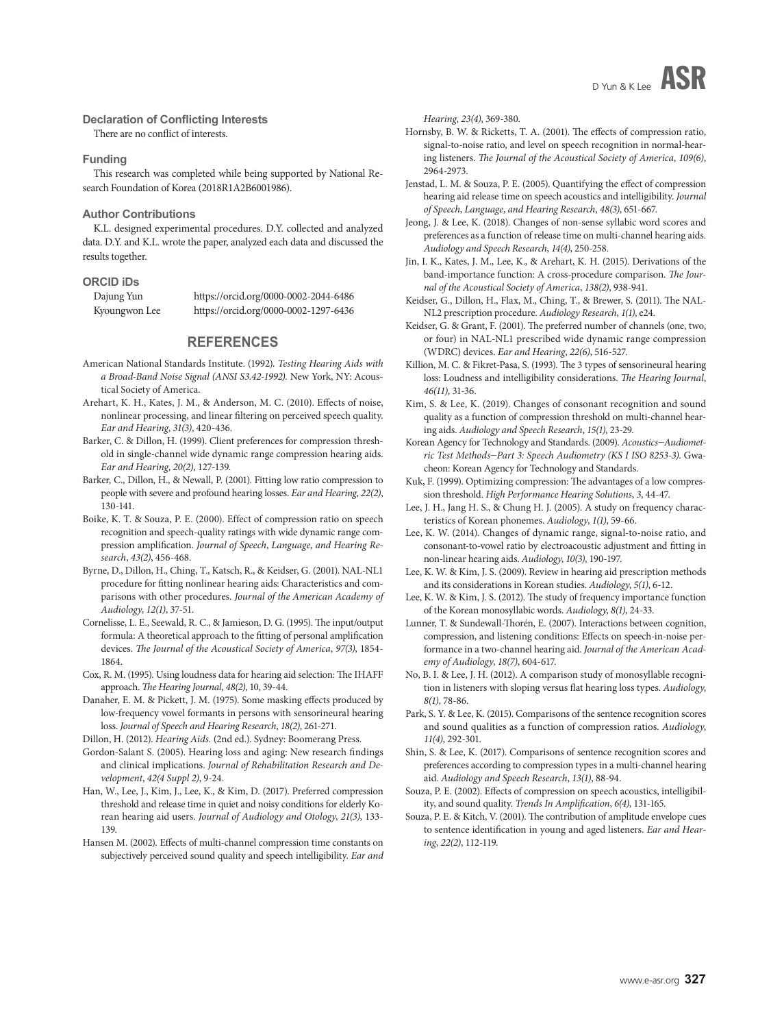#### **Declaration of Conflicting Interests**

There are no conflict of interests.

#### **Funding**

This research was completed while being supported by National Research Foundation of Korea (2018R1A2B6001986).

#### **Author Contributions**

K.L. designed experimental procedures. D.Y. collected and analyzed data. D.Y. and K.L. wrote the paper, analyzed each data and discussed the results together.

#### **ORCID iDs**

Dajung Yun https://orcid.org/0000-0002-2044-6486 Kyoungwon Lee https://orcid.org/0000-0002-1297-6436

#### **REFERENCES**

- American National Standards Institute. (1992). *Testing Hearing Aids with a Broad-Band Noise Signal (ANSI S3.42-1992).* New York, NY: Acoustical Society of America.
- Arehart, K. H., Kates, J. M., & Anderson, M. C. (2010). Effects of noise, nonlinear processing, and linear filtering on perceived speech quality. *Ear and Hearing*, *31(3)*, 420-436.
- Barker, C. & Dillon, H. (1999). Client preferences for compression threshold in single-channel wide dynamic range compression hearing aids. *Ear and Hearing*, *20(2)*, 127-139.
- Barker, C., Dillon, H., & Newall, P. (2001). Fitting low ratio compression to people with severe and profound hearing losses. *Ear and Hearing*, *22(2)*, 130-141.
- Boike, K. T. & Souza, P. E. (2000). Effect of compression ratio on speech recognition and speech-quality ratings with wide dynamic range compression amplification. *Journal of Speech*, *Language*, *and Hearing Research*, *43(2)*, 456-468.
- Byrne, D., Dillon, H., Ching, T., Katsch, R., & Keidser, G. (2001). NAL-NL1 procedure for fitting nonlinear hearing aids: Characteristics and comparisons with other procedures. *Journal of the American Academy of Audiology*, *12(1)*, 37-51.
- Cornelisse, L. E., Seewald, R. C., & Jamieson, D. G. (1995). The input/output formula: A theoretical approach to the fitting of personal amplification devices. *The Journal of the Acoustical Society of America*, *97(3)*, 1854- 1864.
- Cox, R. M. (1995). Using loudness data for hearing aid selection: The IHAFF approach. *The Hearing Journal*, *48(2)*, 10, 39-44.
- Danaher, E. M. & Pickett, J. M. (1975). Some masking effects produced by low-frequency vowel formants in persons with sensorineural hearing loss. *Journal of Speech and Hearing Research*, *18(2)*, 261-271.

Dillon, H. (2012). *Hearing Aids.* (2nd ed.). Sydney: Boomerang Press.

- Gordon-Salant S. (2005). Hearing loss and aging: New research findings and clinical implications. *Journal of Rehabilitation Research and Development*, *42(4 Suppl 2)*, 9-24.
- Han, W., Lee, J., Kim, J., Lee, K., & Kim, D. (2017). Preferred compression threshold and release time in quiet and noisy conditions for elderly Korean hearing aid users. *Journal of Audiology and Otology*, *21(3)*, 133- 139.
- Hansen M. (2002). Effects of multi-channel compression time constants on subjectively perceived sound quality and speech intelligibility. *Ear and*

*Hearing*, *23(4)*, 369-380.

- Hornsby, B. W. & Ricketts, T. A. (2001). The effects of compression ratio, signal-to-noise ratio, and level on speech recognition in normal-hearing listeners. *The Journal of the Acoustical Society of America*, *109(6)*, 2964-2973.
- Jenstad, L. M. & Souza, P. E. (2005). Quantifying the effect of compression hearing aid release time on speech acoustics and intelligibility. *Journal of Speech*, *Language*, *and Hearing Research*, *48(3)*, 651-667.
- Jeong, J. & Lee, K. (2018). Changes of non-sense syllabic word scores and preferences as a function of release time on multi-channel hearing aids. *Audiology and Speech Research*, *14(4)*, 250-258.
- Jin, I. K., Kates, J. M., Lee, K., & Arehart, K. H. (2015). Derivations of the band-importance function: A cross-procedure comparison. *The Journal of the Acoustical Society of America*, *138(2)*, 938-941.
- Keidser, G., Dillon, H., Flax, M., Ching, T., & Brewer, S. (2011). The NAL-NL2 prescription procedure. *Audiology Research*, *1(1)*, e24.
- Keidser, G. & Grant, F. (2001). The preferred number of channels (one, two, or four) in NAL-NL1 prescribed wide dynamic range compression (WDRC) devices. *Ear and Hearing*, *22(6)*, 516-527.
- Killion, M. C. & Fikret-Pasa, S. (1993). The 3 types of sensorineural hearing loss: Loudness and intelligibility considerations. *The Hearing Journal*, *46(11)*, 31-36.
- Kim, S. & Lee, K. (2019). Changes of consonant recognition and sound quality as a function of compression threshold on multi-channel hearing aids. *Audiology and Speech Research*, *15(1)*, 23-29.
- Korean Agency for Technology and Standards. (2009). *Acoustics*-*Audiometric Test Methods*-*Part 3: Speech Audiometry (KS I ISO 8253-3)*. Gwacheon: Korean Agency for Technology and Standards.
- Kuk, F. (1999). Optimizing compression: The advantages of a low compression threshold. *High Performance Hearing Solutions*, *3*, 44-47.
- Lee, J. H., Jang H. S., & Chung H. J. (2005). A study on frequency characteristics of Korean phonemes. *Audiology*, *1(1)*, 59-66.
- Lee, K. W. (2014). Changes of dynamic range, signal-to-noise ratio, and consonant-to-vowel ratio by electroacoustic adjustment and fitting in non-linear hearing aids. *Audiology*, *10(3)*, 190-197.
- Lee, K. W. & Kim, J. S. (2009). Review in hearing aid prescription methods and its considerations in Korean studies. *Audiology*, *5(1)*, 6-12.
- Lee, K. W. & Kim, J. S. (2012). The study of frequency importance function of the Korean monosyllabic words. *Audiology*, *8(1)*, 24-33.
- Lunner, T. & Sundewall-Thorén, E. (2007). Interactions between cognition, compression, and listening conditions: Effects on speech-in-noise performance in a two-channel hearing aid. *Journal of the American Academy of Audiology*, *18(7)*, 604-617.
- No, B. I. & Lee, J. H. (2012). A comparison study of monosyllable recognition in listeners with sloping versus flat hearing loss types. *Audiology*, *8(1)*, 78-86.
- Park, S. Y. & Lee, K. (2015). Comparisons of the sentence recognition scores and sound qualities as a function of compression ratios. *Audiology*, *11(4)*, 292-301.
- Shin, S. & Lee, K. (2017). Comparisons of sentence recognition scores and preferences according to compression types in a multi-channel hearing aid. *Audiology and Speech Research*, *13(1)*, 88-94.
- Souza, P. E. (2002). Effects of compression on speech acoustics, intelligibility, and sound quality. *Trends In Amplification*, *6(4)*, 131-165.
- Souza, P. E. & Kitch, V. (2001). The contribution of amplitude envelope cues to sentence identification in young and aged listeners. *Ear and Hearing*, *22(2)*, 112-119.